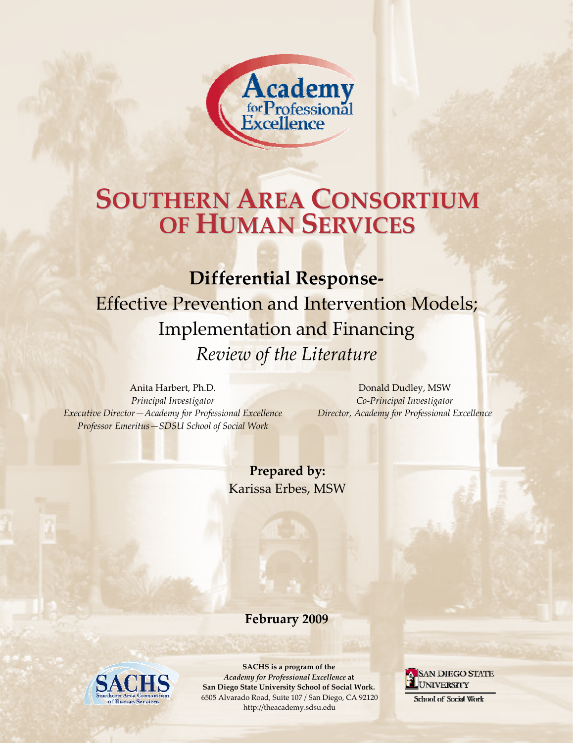

#### strategy to reduce the recurrence rate of child maltreatment cases, to broaden the outreach of **SOUTHERN AREA CONSOR SOUTHERN AREA CONSORTIUM** WORK PLIMAN SERVICES, INC. **various assessments and universe for HUMAN SERVICES**

#### of California counties by The California counties, 2009. However, 2009. However, of the barriers in the by counties, **response**<br>**Differential Response**

the creation of multidisciplinary teams designed to deliver a more specialized response to particular family needs. With budget permitting, California intends to implement DR in all 58

Effective Prevention and Intervention Models: Effective Prevention and Intervention Models; **DR Examplementation and Financing.** That are able to draw on  $\mathbf{F}$ **particularly in terms of space and station and Financing** strategies more financial more functions of the Literature those vital community  $\mathbb{R}$  equipment of the Literature *Review of the Literature* 

Anita Harbert, Ph.D. *Principal Investigator Executive Director—Academy for Professional Excellence Professor Emeritus—SDSU School of Social Work*

Donald Dudley, MSW *Co‐Principal Investigator Director, Academy for Professional Excellence*

**Prepared by:** Karissa Erbes, MSW

**February 2009** 

(February, 2007)



**SACHS is a program of the** *Academy for Professional Excellence* **at San Diego State University School of Social Work.** 6505 Alvarado Road, Suite 107 / San Diego, CA 92120 http://theacademy.sdsu.edu

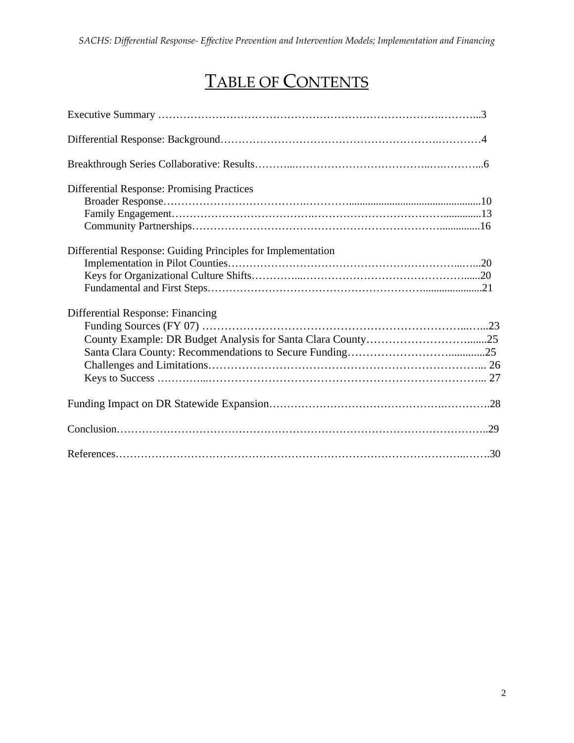# TABLE OF CONTENTS

| Differential Response: Promising Practices                   |
|--------------------------------------------------------------|
| Differential Response: Guiding Principles for Implementation |
| Differential Response: Financing                             |
|                                                              |
|                                                              |
|                                                              |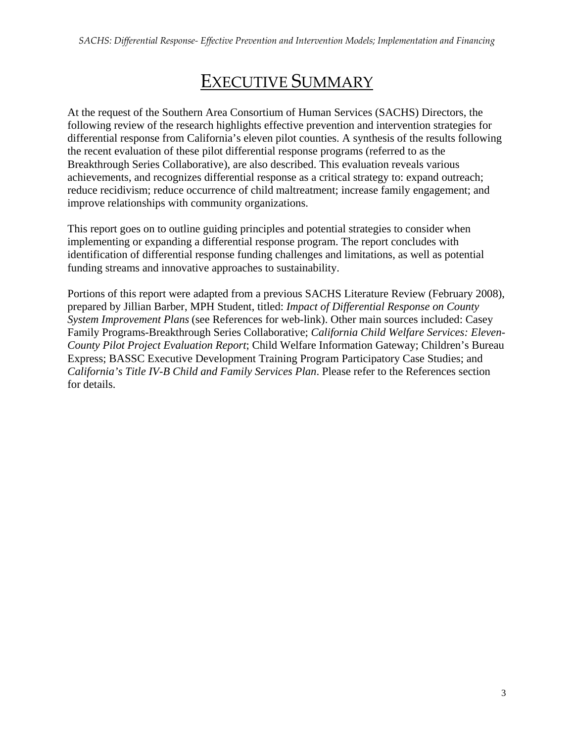# EXECUTIVE SUMMARY

At the request of the Southern Area Consortium of Human Services (SACHS) Directors, the following review of the research highlights effective prevention and intervention strategies for differential response from California's eleven pilot counties. A synthesis of the results following the recent evaluation of these pilot differential response programs (referred to as the Breakthrough Series Collaborative), are also described. This evaluation reveals various achievements, and recognizes differential response as a critical strategy to: expand outreach; reduce recidivism; reduce occurrence of child maltreatment; increase family engagement; and improve relationships with community organizations.

This report goes on to outline guiding principles and potential strategies to consider when implementing or expanding a differential response program. The report concludes with identification of differential response funding challenges and limitations, as well as potential funding streams and innovative approaches to sustainability.

Portions of this report were adapted from a previous SACHS Literature Review (February 2008), prepared by Jillian Barber, MPH Student, titled: *Impact of Differential Response on County System Improvement Plans* (see References for web-link). Other main sources included: Casey Family Programs-Breakthrough Series Collaborative; *California Child Welfare Services: Eleven-County Pilot Project Evaluation Report*; Child Welfare Information Gateway; Children's Bureau Express; BASSC Executive Development Training Program Participatory Case Studies; and *California's Title IV-B Child and Family Services Plan*. Please refer to the References section for details.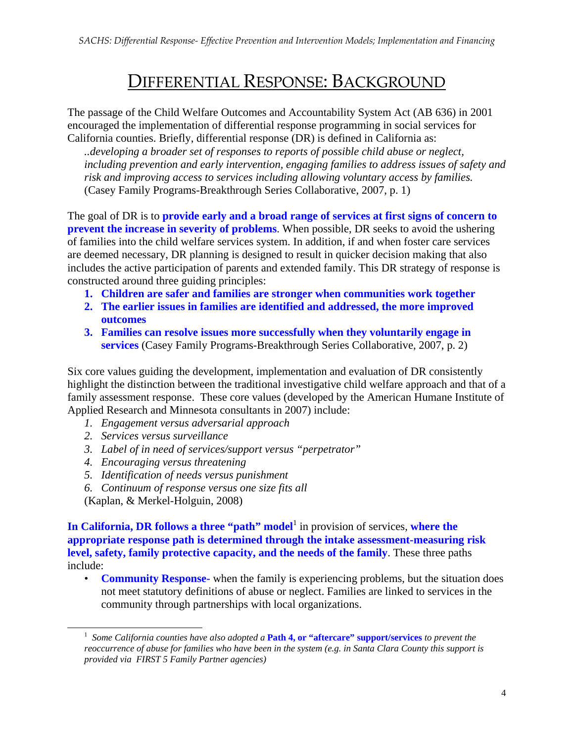# DIFFERENTIAL RESPONSE: BACKGROUND

The passage of the Child Welfare Outcomes and Accountability System Act (AB 636) in 2001 encouraged the implementation of differential response programming in social services for California counties. Briefly, differential response (DR) is defined in California as:

*..developing a broader set of responses to reports of possible child abuse or neglect, including prevention and early intervention, engaging families to address issues of safety and risk and improving access to services including allowing voluntary access by families.*  (Casey Family Programs-Breakthrough Series Collaborative, 2007, p. 1)

The goal of DR is to **provide early and a broad range of services at first signs of concern to prevent the increase in severity of problems**. When possible, DR seeks to avoid the ushering of families into the child welfare services system. In addition, if and when foster care services are deemed necessary, DR planning is designed to result in quicker decision making that also includes the active participation of parents and extended family. This DR strategy of response is constructed around three guiding principles:

- **1. Children are safer and families are stronger when communities work together**
- **2. The earlier issues in families are identified and addressed, the more improved outcomes**
- **3. Families can resolve issues more successfully when they voluntarily engage in services** (Casey Family Programs-Breakthrough Series Collaborative, 2007, p. 2)

Six core values guiding the development, implementation and evaluation of DR consistently highlight the distinction between the traditional investigative child welfare approach and that of a family assessment response. These core values (developed by the American Humane Institute of Applied Research and Minnesota consultants in 2007) include:

- *1. Engagement versus adversarial approach*
- *2. Services versus surveillance*
- *3. Label of in need of services/support versus "perpetrator"*
- *4. Encouraging versus threatening*
- *5. Identification of needs versus punishment*
- *6. Continuum of response versus one size fits all*

(Kaplan, & Merkel-Holguin, 2008)

In California, DR follows a three "path" model<sup>1</sup> in provision of services, where the **appropriate response path is determined through the intake assessment-measuring risk level, safety, family protective capacity, and the needs of the family**. These three paths include:

• **Community Response-** when the family is experiencing problems, but the situation does not meet statutory definitions of abuse or neglect. Families are linked to services in the community through partnerships with local organizations.

 <sup>1</sup> *Some California counties have also adopted a* **Path 4, or "aftercare" support/services** *to prevent the reoccurrence of abuse for families who have been in the system (e.g. in Santa Clara County this support is provided via FIRST 5 Family Partner agencies)*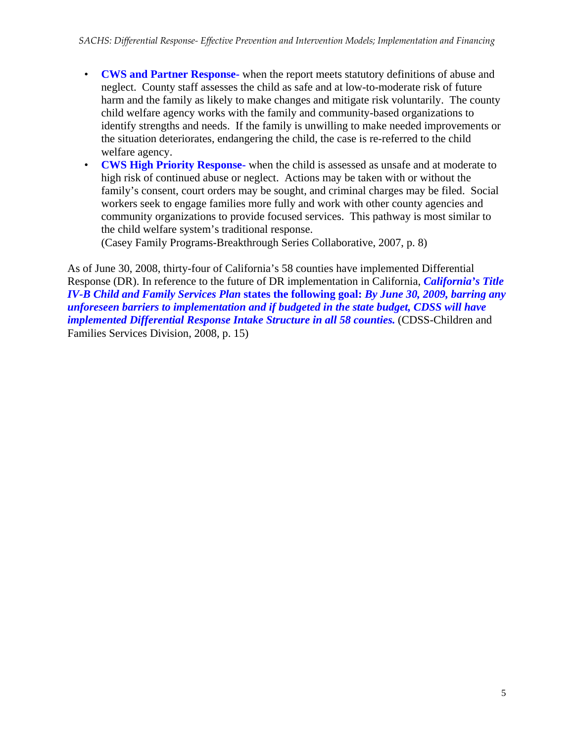- **CWS and Partner Response-** when the report meets statutory definitions of abuse and neglect. County staff assesses the child as safe and at low-to-moderate risk of future harm and the family as likely to make changes and mitigate risk voluntarily. The county child welfare agency works with the family and community-based organizations to identify strengths and needs. If the family is unwilling to make needed improvements or the situation deteriorates, endangering the child, the case is re-referred to the child welfare agency.
- **CWS High Priority Response-** when the child is assessed as unsafe and at moderate to high risk of continued abuse or neglect. Actions may be taken with or without the family's consent, court orders may be sought, and criminal charges may be filed. Social workers seek to engage families more fully and work with other county agencies and community organizations to provide focused services. This pathway is most similar to the child welfare system's traditional response.

(Casey Family Programs-Breakthrough Series Collaborative, 2007, p. 8)

As of June 30, 2008, thirty-four of California's 58 counties have implemented Differential Response (DR). In reference to the future of DR implementation in California, *California's Title IV-B Child and Family Services Plan* **states the following goal:** *By June 30, 2009, barring any unforeseen barriers to implementation and if budgeted in the state budget, CDSS will have implemented Differential Response Intake Structure in all 58 counties.* (CDSS-Children and Families Services Division, 2008, p. 15)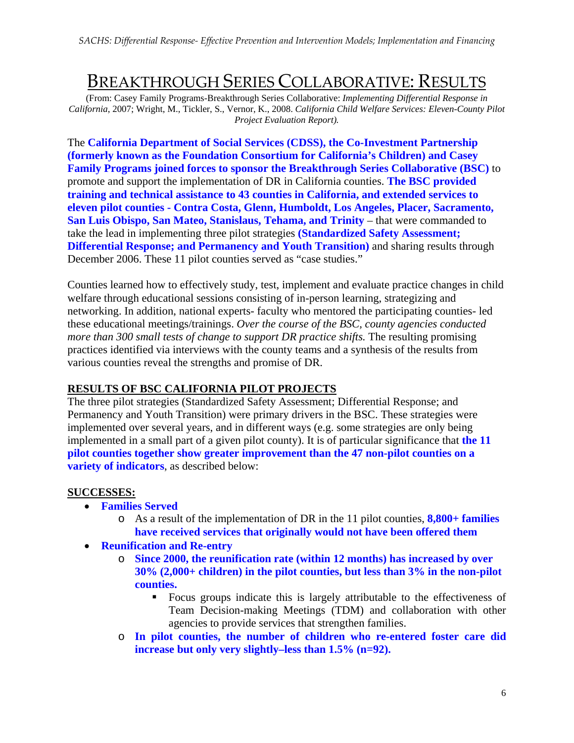## BREAKTHROUGH SERIES COLLABORATIVE: RESULTS

(From: Casey Family Programs-Breakthrough Series Collaborative: *Implementing Differential Response in California*, 2007; Wright, M., Tickler, S., Vernor, K., 2008. *California Child Welfare Services: Eleven-County Pilot Project Evaluation Report).*

The **California Department of Social Services (CDSS), the Co-Investment Partnership (formerly known as the Foundation Consortium for California's Children) and Casey Family Programs joined forces to sponsor the Breakthrough Series Collaborative (BSC)** to promote and support the implementation of DR in California counties. **The BSC provided training and technical assistance to 43 counties in California, and extended services to eleven pilot counties - Contra Costa, Glenn, Humboldt, Los Angeles, Placer, Sacramento, San Luis Obispo, San Mateo, Stanislaus, Tehama, and Trinity** – that were commanded to take the lead in implementing three pilot strategies **(Standardized Safety Assessment; Differential Response; and Permanency and Youth Transition)** and sharing results through December 2006. These 11 pilot counties served as "case studies."

Counties learned how to effectively study, test, implement and evaluate practice changes in child welfare through educational sessions consisting of in-person learning, strategizing and networking. In addition, national experts- faculty who mentored the participating counties- led these educational meetings/trainings. *Over the course of the BSC, county agencies conducted more than 300 small tests of change to support DR practice shifts.* The resulting promising practices identified via interviews with the county teams and a synthesis of the results from various counties reveal the strengths and promise of DR.

#### **RESULTS OF BSC CALIFORNIA PILOT PROJECTS**

The three pilot strategies (Standardized Safety Assessment; Differential Response; and Permanency and Youth Transition) were primary drivers in the BSC. These strategies were implemented over several years, and in different ways (e.g. some strategies are only being implemented in a small part of a given pilot county). It is of particular significance that **the 11 pilot counties together show greater improvement than the 47 non-pilot counties on a variety of indicators**, as described below:

#### **SUCCESSES:**

- **Families Served** 
	- o As a result of the implementation of DR in the 11 pilot counties, **8,800+ families have received services that originally would not have been offered them**
- **Reunification and Re-entry** 
	- o **Since 2000, the reunification rate (within 12 months) has increased by over 30% (2,000+ children) in the pilot counties, but less than 3% in the non-pilot counties.** 
		- Focus groups indicate this is largely attributable to the effectiveness of Team Decision-making Meetings (TDM) and collaboration with other agencies to provide services that strengthen families.
	- o **In pilot counties, the number of children who re-entered foster care did increase but only very slightly–less than 1.5% (n=92).**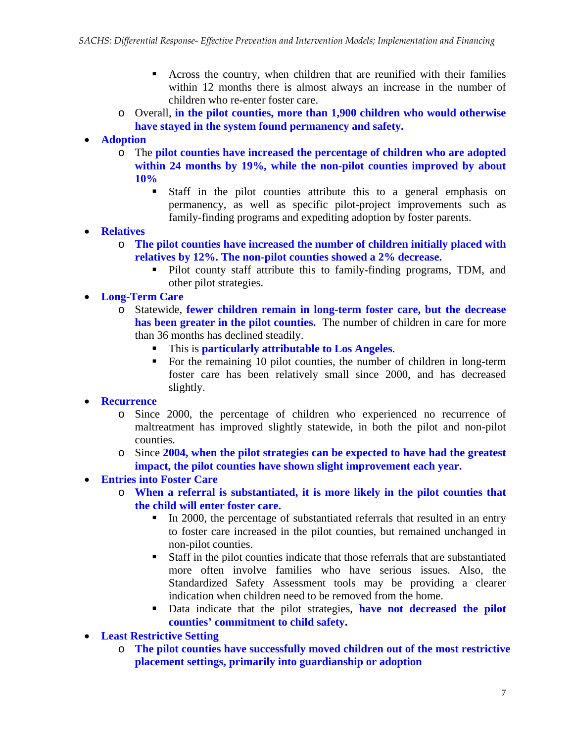- Across the country, when children that are reunified with their families within 12 months there is almost always an increase in the number of children who re-enter foster care.
- o Overall, **in the pilot counties, more than 1,900 children who would otherwise have stayed in the system found permanency and safety.**
- **Adoption** 
	- o The **pilot counties have increased the percentage of children who are adopted within 24 months by 19%, while the non-pilot counties improved by about 10%** 
		- Staff in the pilot counties attribute this to a general emphasis on permanency, as well as specific pilot-project improvements such as family-finding programs and expediting adoption by foster parents.
- **Relatives**
	- o **The pilot counties have increased the number of children initially placed with relatives by 12%. The non-pilot counties showed a 2% decrease.** 
		- Pilot county staff attribute this to family-finding programs, TDM, and other pilot strategies.
- **Long-Term Care** 
	- o Statewide, **fewer children remain in long-term foster care, but the decrease has been greater in the pilot counties.** The number of children in care for more than 36 months has declined steadily.
		- This is **particularly attributable to Los Angeles**.
		- For the remaining 10 pilot counties, the number of children in long-term foster care has been relatively small since 2000, and has decreased slightly.
- **Recurrence**
	- o Since 2000, the percentage of children who experienced no recurrence of maltreatment has improved slightly statewide, in both the pilot and non-pilot counties.
	- o Since **2004, when the pilot strategies can be expected to have had the greatest impact, the pilot counties have shown slight improvement each year.**
- **Entries into Foster Care**
	- o **When a referral is substantiated, it is more likely in the pilot counties that the child will enter foster care.**
		- In 2000, the percentage of substantiated referrals that resulted in an entry to foster care increased in the pilot counties, but remained unchanged in non-pilot counties.
		- Staff in the pilot counties indicate that those referrals that are substantiated more often involve families who have serious issues. Also, the Standardized Safety Assessment tools may be providing a clearer indication when children need to be removed from the home.
		- Data indicate that the pilot strategies, **have not decreased the pilot counties' commitment to child safety.**
- **Least Restrictive Setting**
	- o **The pilot counties have successfully moved children out of the most restrictive placement settings, primarily into guardianship or adoption**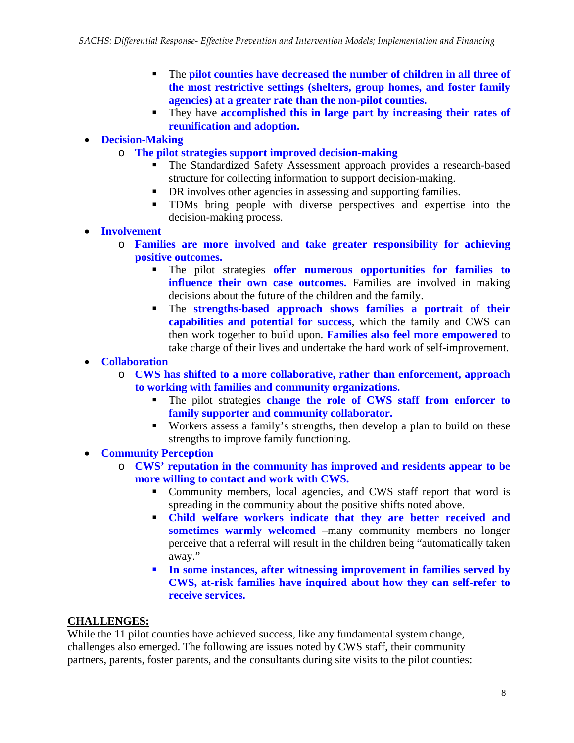- The **pilot counties have decreased the number of children in all three of the most restrictive settings (shelters, group homes, and foster family agencies) at a greater rate than the non-pilot counties.**
- They have **accomplished this in large part by increasing their rates of reunification and adoption.**

#### • **Decision-Making**

- o **The pilot strategies support improved decision-making** 
	- The Standardized Safety Assessment approach provides a research-based structure for collecting information to support decision-making.
	- DR involves other agencies in assessing and supporting families.
	- TDMs bring people with diverse perspectives and expertise into the decision-making process.
- **Involvement**
	- o **Families are more involved and take greater responsibility for achieving positive outcomes.**
		- The pilot strategies **offer numerous opportunities for families to influence their own case outcomes.** Families are involved in making decisions about the future of the children and the family.
		- The **strengths-based approach shows families a portrait of their capabilities and potential for success**, which the family and CWS can then work together to build upon. **Families also feel more empowered** to take charge of their lives and undertake the hard work of self-improvement.

#### • **Collaboration**

- o **CWS has shifted to a more collaborative, rather than enforcement, approach to working with families and community organizations.** 
	- The pilot strategies **change the role of CWS staff from enforcer to family supporter and community collaborator.**
	- Workers assess a family's strengths, then develop a plan to build on these strengths to improve family functioning.
- **Community Perception** 
	- o **CWS' reputation in the community has improved and residents appear to be more willing to contact and work with CWS.**
		- Community members, local agencies, and CWS staff report that word is spreading in the community about the positive shifts noted above.
		- **Child welfare workers indicate that they are better received and sometimes warmly welcomed** –many community members no longer perceive that a referral will result in the children being "automatically taken away."
		- **In some instances, after witnessing improvement in families served by CWS, at-risk families have inquired about how they can self-refer to receive services.**

#### **CHALLENGES:**

While the 11 pilot counties have achieved success, like any fundamental system change, challenges also emerged. The following are issues noted by CWS staff, their community partners, parents, foster parents, and the consultants during site visits to the pilot counties: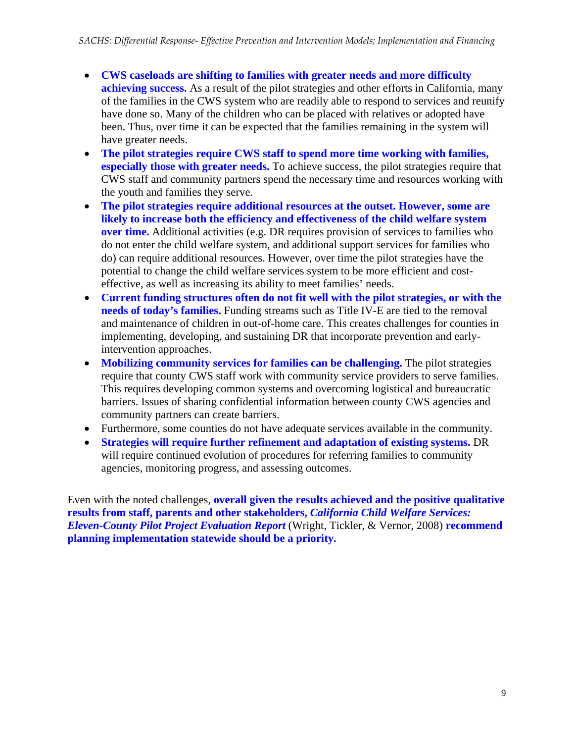- **CWS caseloads are shifting to families with greater needs and more difficulty achieving success.** As a result of the pilot strategies and other efforts in California, many of the families in the CWS system who are readily able to respond to services and reunify have done so. Many of the children who can be placed with relatives or adopted have been. Thus, over time it can be expected that the families remaining in the system will have greater needs.
- **The pilot strategies require CWS staff to spend more time working with families, especially those with greater needs.** To achieve success, the pilot strategies require that CWS staff and community partners spend the necessary time and resources working with the youth and families they serve.
- **The pilot strategies require additional resources at the outset. However, some are likely to increase both the efficiency and effectiveness of the child welfare system over time.** Additional activities (e.g. DR requires provision of services to families who do not enter the child welfare system, and additional support services for families who do) can require additional resources. However, over time the pilot strategies have the potential to change the child welfare services system to be more efficient and costeffective, as well as increasing its ability to meet families' needs.
- **Current funding structures often do not fit well with the pilot strategies, or with the needs of today's families.** Funding streams such as Title IV-E are tied to the removal and maintenance of children in out-of-home care. This creates challenges for counties in implementing, developing, and sustaining DR that incorporate prevention and earlyintervention approaches.
- **Mobilizing community services for families can be challenging.** The pilot strategies require that county CWS staff work with community service providers to serve families. This requires developing common systems and overcoming logistical and bureaucratic barriers. Issues of sharing confidential information between county CWS agencies and community partners can create barriers.
- Furthermore, some counties do not have adequate services available in the community.
- **Strategies will require further refinement and adaptation of existing systems.** DR will require continued evolution of procedures for referring families to community agencies, monitoring progress, and assessing outcomes.

Even with the noted challenges, **overall given the results achieved and the positive qualitative results from staff, parents and other stakeholders,** *California Child Welfare Services: Eleven-County Pilot Project Evaluation Report* (Wright, Tickler, & Vernor, 2008) **recommend planning implementation statewide should be a priority.**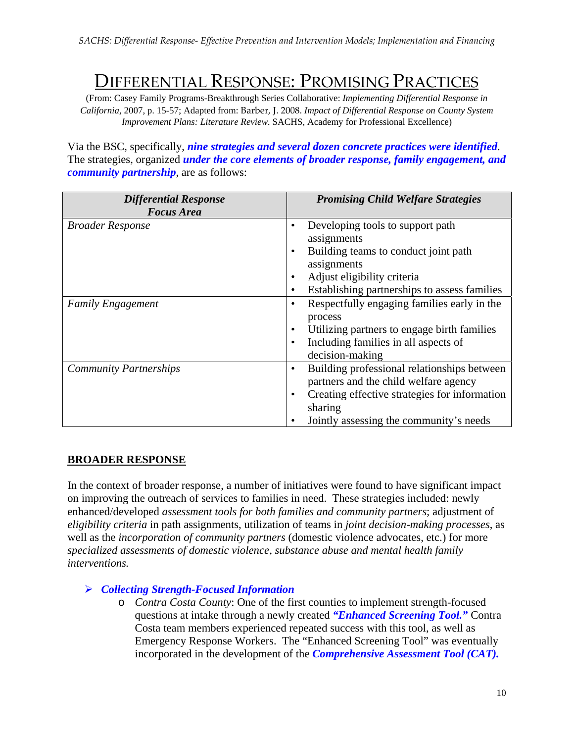# DIFFERENTIAL RESPONSE: PROMISING PRACTICES

(From: Casey Family Programs-Breakthrough Series Collaborative: *Implementing Differential Response in California*, 2007, p. 15-57; Adapted from: Barber, J. 2008. *Impact of Differential Response on County System Improvement Plans: Literature Review.* SACHS, Academy for Professional Excellence)

Via the BSC, specifically, *nine strategies and several dozen concrete practices were identified*. The strategies, organized *under the core elements of broader response, family engagement, and community partnership*, are as follows:

| <b>Differential Response</b>  | <b>Promising Child Welfare Strategies</b>                  |
|-------------------------------|------------------------------------------------------------|
| <b>Focus Area</b>             |                                                            |
| <b>Broader Response</b>       | Developing tools to support path<br>$\bullet$              |
|                               | assignments                                                |
|                               | Building teams to conduct joint path                       |
|                               | assignments                                                |
|                               | Adjust eligibility criteria<br>$\bullet$                   |
|                               | Establishing partnerships to assess families<br>$\bullet$  |
| <b>Family Engagement</b>      | Respectfully engaging families early in the<br>$\bullet$   |
|                               | process                                                    |
|                               | Utilizing partners to engage birth families<br>$\bullet$   |
|                               | Including families in all aspects of<br>$\bullet$          |
|                               | decision-making                                            |
| <b>Community Partnerships</b> | Building professional relationships between<br>$\bullet$   |
|                               | partners and the child welfare agency                      |
|                               | Creating effective strategies for information<br>$\bullet$ |
|                               | sharing                                                    |
|                               | Jointly assessing the community's needs                    |

#### **BROADER RESPONSE**

In the context of broader response, a number of initiatives were found to have significant impact on improving the outreach of services to families in need. These strategies included: newly enhanced/developed *assessment tools for both families and community partners*; adjustment of *eligibility criteria* in path assignments, utilization of teams in *joint decision-making processes*, as well as the *incorporation of community partners* (domestic violence advocates, etc.) for more *specialized assessments of domestic violence, substance abuse and mental health family interventions.* 

#### ¾ *Collecting Strength-Focused Information*

o *Contra Costa County*: One of the first counties to implement strength-focused questions at intake through a newly created *"Enhanced Screening Tool."* Contra Costa team members experienced repeated success with this tool, as well as Emergency Response Workers. The "Enhanced Screening Tool" was eventually incorporated in the development of the *Comprehensive Assessment Tool (CAT).*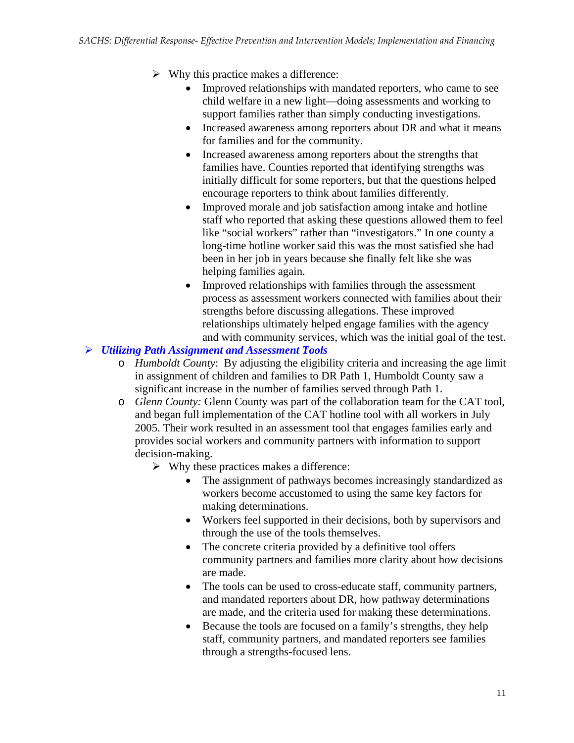- $\triangleright$  Why this practice makes a difference:
	- Improved relationships with mandated reporters, who came to see child welfare in a new light—doing assessments and working to support families rather than simply conducting investigations.
	- Increased awareness among reporters about DR and what it means for families and for the community.
	- Increased awareness among reporters about the strengths that families have. Counties reported that identifying strengths was initially difficult for some reporters, but that the questions helped encourage reporters to think about families differently.
	- Improved morale and job satisfaction among intake and hotline staff who reported that asking these questions allowed them to feel like "social workers" rather than "investigators." In one county a long-time hotline worker said this was the most satisfied she had been in her job in years because she finally felt like she was helping families again.
	- Improved relationships with families through the assessment process as assessment workers connected with families about their strengths before discussing allegations. These improved relationships ultimately helped engage families with the agency and with community services, which was the initial goal of the test.

#### ¾ *Utilizing Path Assignment and Assessment Tools*

- o *Humboldt County*: By adjusting the eligibility criteria and increasing the age limit in assignment of children and families to DR Path 1, Humboldt County saw a significant increase in the number of families served through Path 1.
- o *Glenn County:* Glenn County was part of the collaboration team for the CAT tool, and began full implementation of the CAT hotline tool with all workers in July 2005. Their work resulted in an assessment tool that engages families early and provides social workers and community partners with information to support decision-making.
	- $\triangleright$  Why these practices makes a difference:
		- The assignment of pathways becomes increasingly standardized as workers become accustomed to using the same key factors for making determinations.
		- Workers feel supported in their decisions, both by supervisors and through the use of the tools themselves.
		- The concrete criteria provided by a definitive tool offers community partners and families more clarity about how decisions are made.
		- The tools can be used to cross-educate staff, community partners, and mandated reporters about DR, how pathway determinations are made, and the criteria used for making these determinations.
		- Because the tools are focused on a family's strengths, they help staff, community partners, and mandated reporters see families through a strengths-focused lens.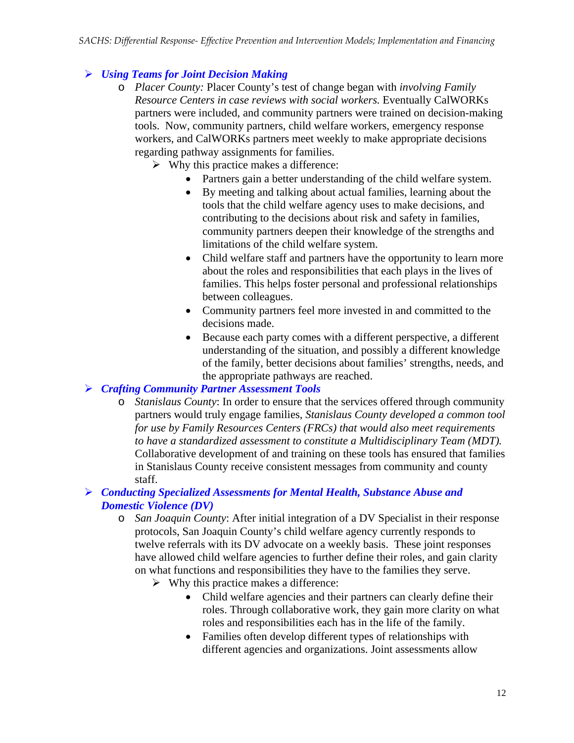### ¾ *Using Teams for Joint Decision Making*

- o *Placer County:* Placer County's test of change began with *involving Family Resource Centers in case reviews with social workers.* Eventually CalWORKs partners were included, and community partners were trained on decision-making tools. Now, community partners, child welfare workers, emergency response workers, and CalWORKs partners meet weekly to make appropriate decisions regarding pathway assignments for families.
	- $\triangleright$  Why this practice makes a difference:
		- Partners gain a better understanding of the child welfare system.
		- By meeting and talking about actual families, learning about the tools that the child welfare agency uses to make decisions, and contributing to the decisions about risk and safety in families, community partners deepen their knowledge of the strengths and limitations of the child welfare system.
		- Child welfare staff and partners have the opportunity to learn more about the roles and responsibilities that each plays in the lives of families. This helps foster personal and professional relationships between colleagues.
		- Community partners feel more invested in and committed to the decisions made.
		- Because each party comes with a different perspective, a different understanding of the situation, and possibly a different knowledge of the family, better decisions about families' strengths, needs, and the appropriate pathways are reached.

#### ¾ *Crafting Community Partner Assessment Tools*

o *Stanislaus County*: In order to ensure that the services offered through community partners would truly engage families, *Stanislaus County developed a common tool for use by Family Resources Centers (FRCs) that would also meet requirements to have a standardized assessment to constitute a Multidisciplinary Team (MDT).*  Collaborative development of and training on these tools has ensured that families in Stanislaus County receive consistent messages from community and county staff.

#### ¾ *Conducting Specialized Assessments for Mental Health, Substance Abuse and Domestic Violence (DV)*

- o *San Joaquin County*: After initial integration of a DV Specialist in their response protocols, San Joaquin County's child welfare agency currently responds to twelve referrals with its DV advocate on a weekly basis. These joint responses have allowed child welfare agencies to further define their roles, and gain clarity on what functions and responsibilities they have to the families they serve.
	- $\triangleright$  Why this practice makes a difference:
		- Child welfare agencies and their partners can clearly define their roles. Through collaborative work, they gain more clarity on what roles and responsibilities each has in the life of the family.
		- Families often develop different types of relationships with different agencies and organizations. Joint assessments allow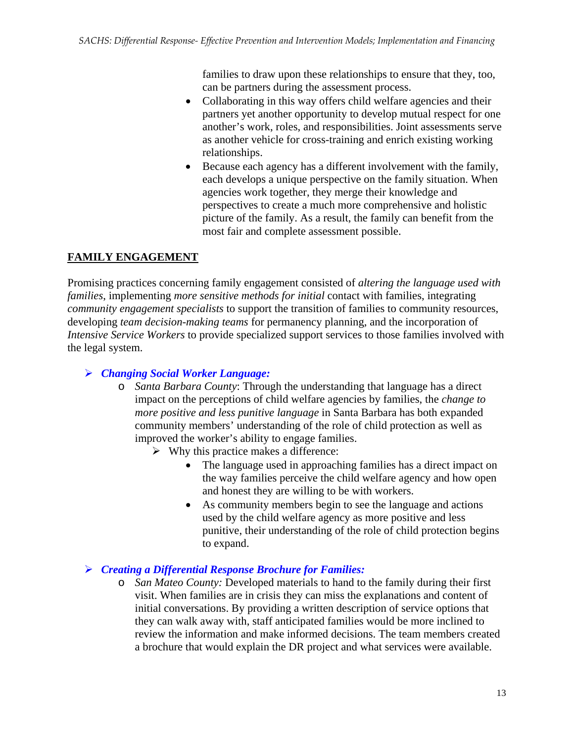families to draw upon these relationships to ensure that they, too, can be partners during the assessment process.

- Collaborating in this way offers child welfare agencies and their partners yet another opportunity to develop mutual respect for one another's work, roles, and responsibilities. Joint assessments serve as another vehicle for cross-training and enrich existing working relationships.
- Because each agency has a different involvement with the family, each develops a unique perspective on the family situation. When agencies work together, they merge their knowledge and perspectives to create a much more comprehensive and holistic picture of the family. As a result, the family can benefit from the most fair and complete assessment possible.

### **FAMILY ENGAGEMENT**

Promising practices concerning family engagement consisted of *altering the language used with families*, implementing *more sensitive methods for initial* contact with families, integrating *community engagement specialists* to support the transition of families to community resources, developing *team decision-making teams* for permanency planning, and the incorporation of *Intensive Service Workers* to provide specialized support services to those families involved with the legal system.

### ¾ *Changing Social Worker Language:*

- o *Santa Barbara County*: Through the understanding that language has a direct impact on the perceptions of child welfare agencies by families, the *change to more positive and less punitive language* in Santa Barbara has both expanded community members' understanding of the role of child protection as well as improved the worker's ability to engage families.
	- $\triangleright$  Why this practice makes a difference:
		- The language used in approaching families has a direct impact on the way families perceive the child welfare agency and how open and honest they are willing to be with workers.
		- As community members begin to see the language and actions used by the child welfare agency as more positive and less punitive, their understanding of the role of child protection begins to expand.

#### ¾ *Creating a Differential Response Brochure for Families:*

o *San Mateo County:* Developed materials to hand to the family during their first visit. When families are in crisis they can miss the explanations and content of initial conversations. By providing a written description of service options that they can walk away with, staff anticipated families would be more inclined to review the information and make informed decisions. The team members created a brochure that would explain the DR project and what services were available.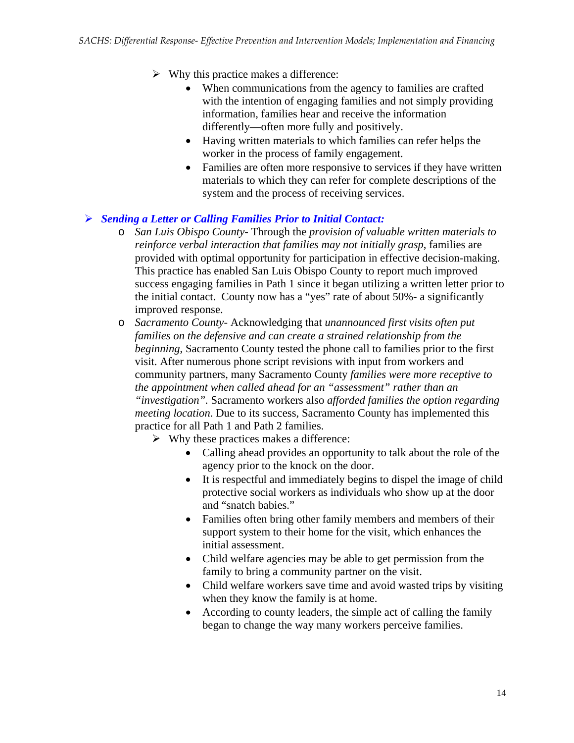- $\triangleright$  Why this practice makes a difference:
	- When communications from the agency to families are crafted with the intention of engaging families and not simply providing information, families hear and receive the information differently—often more fully and positively.
	- Having written materials to which families can refer helps the worker in the process of family engagement.
	- Families are often more responsive to services if they have written materials to which they can refer for complete descriptions of the system and the process of receiving services.

#### ¾ *Sending a Letter or Calling Families Prior to Initial Contact:*

- o *San Luis Obispo County* Through the *provision of valuable written materials to reinforce verbal interaction that families may not initially grasp*, families are provided with optimal opportunity for participation in effective decision-making. This practice has enabled San Luis Obispo County to report much improved success engaging families in Path 1 since it began utilizing a written letter prior to the initial contact. County now has a "yes" rate of about 50%- a significantly improved response.
- o *Sacramento County* Acknowledging that *unannounced first visits often put families on the defensive and can create a strained relationship from the beginning*, Sacramento County tested the phone call to families prior to the first visit. After numerous phone script revisions with input from workers and community partners, many Sacramento County *families were more receptive to the appointment when called ahead for an "assessment" rather than an "investigation".* Sacramento workers also *afforded families the option regarding meeting location*. Due to its success, Sacramento County has implemented this practice for all Path 1 and Path 2 families.
	- $\triangleright$  Why these practices makes a difference:
		- Calling ahead provides an opportunity to talk about the role of the agency prior to the knock on the door.
		- It is respectful and immediately begins to dispel the image of child protective social workers as individuals who show up at the door and "snatch babies."
		- Families often bring other family members and members of their support system to their home for the visit, which enhances the initial assessment.
		- Child welfare agencies may be able to get permission from the family to bring a community partner on the visit.
		- Child welfare workers save time and avoid wasted trips by visiting when they know the family is at home.
		- According to county leaders, the simple act of calling the family began to change the way many workers perceive families.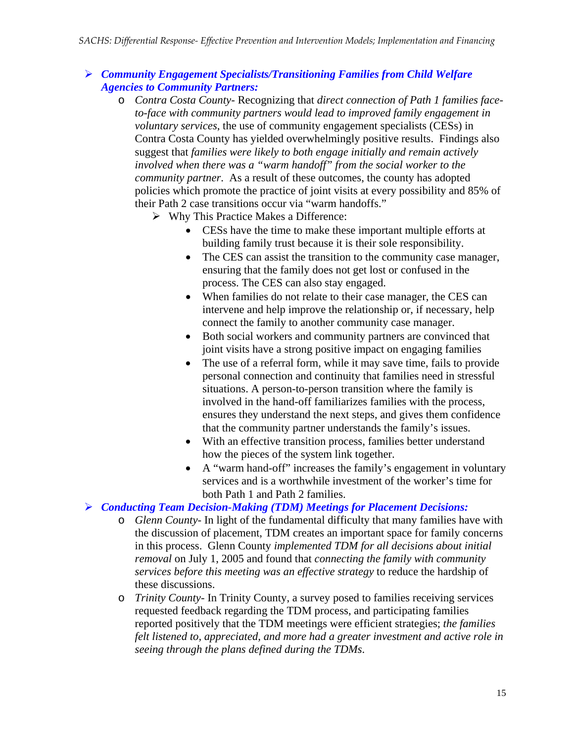#### ¾ *Community Engagement Specialists/Transitioning Families from Child Welfare Agencies to Community Partners:*

- o *Contra Costa County* Recognizing that *direct connection of Path 1 families faceto-face with community partners would lead to improved family engagement in voluntary services*, the use of community engagement specialists (CESs) in Contra Costa County has yielded overwhelmingly positive results. Findings also suggest that *families were likely to both engage initially and remain actively involved when there was a "warm handoff" from the social worker to the community partner*. As a result of these outcomes, the county has adopted policies which promote the practice of joint visits at every possibility and 85% of their Path 2 case transitions occur via "warm handoffs."
	- $\triangleright$  Why This Practice Makes a Difference:
		- CESs have the time to make these important multiple efforts at building family trust because it is their sole responsibility.
		- The CES can assist the transition to the community case manager, ensuring that the family does not get lost or confused in the process. The CES can also stay engaged.
		- When families do not relate to their case manager, the CES can intervene and help improve the relationship or, if necessary, help connect the family to another community case manager.
		- Both social workers and community partners are convinced that joint visits have a strong positive impact on engaging families
		- The use of a referral form, while it may save time, fails to provide personal connection and continuity that families need in stressful situations. A person-to-person transition where the family is involved in the hand-off familiarizes families with the process, ensures they understand the next steps, and gives them confidence that the community partner understands the family's issues.
		- With an effective transition process, families better understand how the pieces of the system link together.
		- A "warm hand-off" increases the family's engagement in voluntary services and is a worthwhile investment of the worker's time for both Path 1 and Path 2 families.

#### ¾ *Conducting Team Decision-Making (TDM) Meetings for Placement Decisions:*

- o *Glenn County* In light of the fundamental difficulty that many families have with the discussion of placement, TDM creates an important space for family concerns in this process. Glenn County *implemented TDM for all decisions about initial removal* on July 1, 2005 and found that *connecting the family with community services before this meeting was an effective strategy* to reduce the hardship of these discussions.
- o *Trinity County* In Trinity County, a survey posed to families receiving services requested feedback regarding the TDM process, and participating families reported positively that the TDM meetings were efficient strategies; *the families felt listened to, appreciated, and more had a greater investment and active role in seeing through the plans defined during the TDMs*.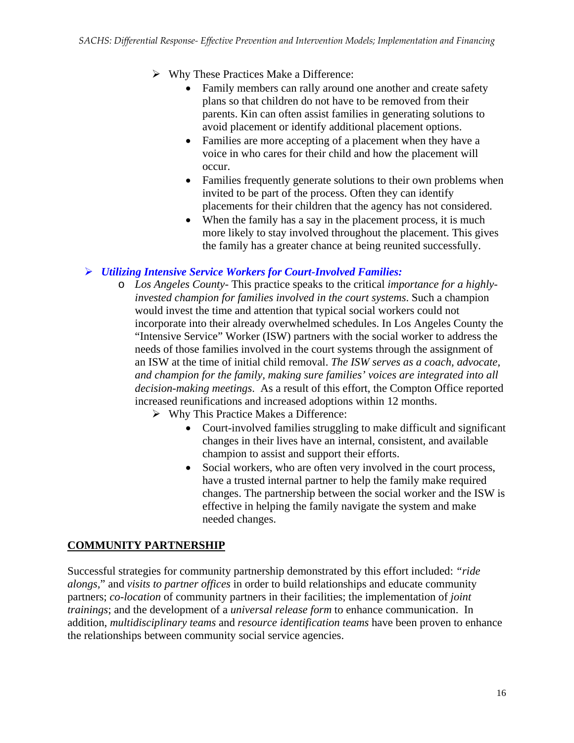- $\triangleright$  Why These Practices Make a Difference:
	- Family members can rally around one another and create safety plans so that children do not have to be removed from their parents. Kin can often assist families in generating solutions to avoid placement or identify additional placement options.
	- Families are more accepting of a placement when they have a voice in who cares for their child and how the placement will occur.
	- Families frequently generate solutions to their own problems when invited to be part of the process. Often they can identify placements for their children that the agency has not considered.
	- When the family has a say in the placement process, it is much more likely to stay involved throughout the placement. This gives the family has a greater chance at being reunited successfully.

#### ¾ *Utilizing Intensive Service Workers for Court-Involved Families:*

- o *Los Angeles County* This practice speaks to the critical *importance for a highlyinvested champion for families involved in the court systems*. Such a champion would invest the time and attention that typical social workers could not incorporate into their already overwhelmed schedules. In Los Angeles County the "Intensive Service" Worker (ISW) partners with the social worker to address the needs of those families involved in the court systems through the assignment of an ISW at the time of initial child removal. *The ISW serves as a coach, advocate, and champion for the family, making sure families' voices are integrated into all decision-making meetings*. As a result of this effort, the Compton Office reported increased reunifications and increased adoptions within 12 months.
	- $\triangleright$  Why This Practice Makes a Difference:
		- Court-involved families struggling to make difficult and significant changes in their lives have an internal, consistent, and available champion to assist and support their efforts.
		- Social workers, who are often very involved in the court process, have a trusted internal partner to help the family make required changes. The partnership between the social worker and the ISW is effective in helping the family navigate the system and make needed changes.

### **COMMUNITY PARTNERSHIP**

Successful strategies for community partnership demonstrated by this effort included: *"ride alongs,*" and *visits to partner offices* in order to build relationships and educate community partners; *co-location* of community partners in their facilities; the implementation of *joint trainings*; and the development of a *universal release form* to enhance communication. In addition, *multidisciplinary teams* and *resource identification teams* have been proven to enhance the relationships between community social service agencies.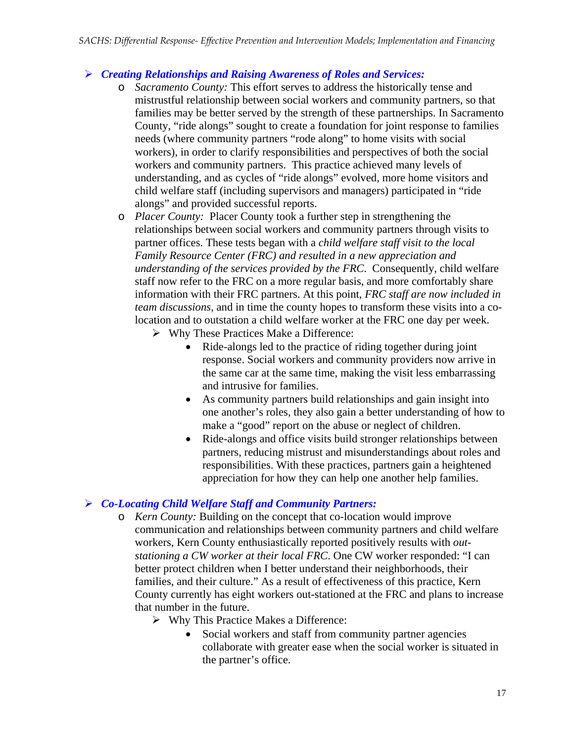#### ¾ *Creating Relationships and Raising Awareness of Roles and Services:*

- o *Sacramento County:* This effort serves to address the historically tense and mistrustful relationship between social workers and community partners, so that families may be better served by the strength of these partnerships. In Sacramento County, "ride alongs" sought to create a foundation for joint response to families needs (where community partners "rode along" to home visits with social workers), in order to clarify responsibilities and perspectives of both the social workers and community partners. This practice achieved many levels of understanding, and as cycles of "ride alongs" evolved, more home visitors and child welfare staff (including supervisors and managers) participated in "ride alongs" and provided successful reports.
- o *Placer County:*Placer County took a further step in strengthening the relationships between social workers and community partners through visits to partner offices. These tests began with a *child welfare staff visit to the local Family Resource Center (FRC) and resulted in a new appreciation and understanding of the services provided by the FRC*. Consequently, child welfare staff now refer to the FRC on a more regular basis, and more comfortably share information with their FRC partners. At this point, *FRC staff are now included in team discussions*, and in time the county hopes to transform these visits into a colocation and to outstation a child welfare worker at the FRC one day per week.
	- $\triangleright$  Why These Practices Make a Difference:
		- Ride-alongs led to the practice of riding together during joint response. Social workers and community providers now arrive in the same car at the same time, making the visit less embarrassing and intrusive for families.
		- As community partners build relationships and gain insight into one another's roles, they also gain a better understanding of how to make a "good" report on the abuse or neglect of children.
		- Ride-alongs and office visits build stronger relationships between partners, reducing mistrust and misunderstandings about roles and responsibilities. With these practices, partners gain a heightened appreciation for how they can help one another help families.

### ¾ *Co-Locating Child Welfare Staff and Community Partners:*

- o *Kern County:* Building on the concept that co-location would improve communication and relationships between community partners and child welfare workers, Kern County enthusiastically reported positively results with *outstationing a CW worker at their local FRC*. One CW worker responded: "I can better protect children when I better understand their neighborhoods, their families, and their culture." As a result of effectiveness of this practice, Kern County currently has eight workers out-stationed at the FRC and plans to increase that number in the future.
	- $\triangleright$  Why This Practice Makes a Difference:
		- Social workers and staff from community partner agencies collaborate with greater ease when the social worker is situated in the partner's office.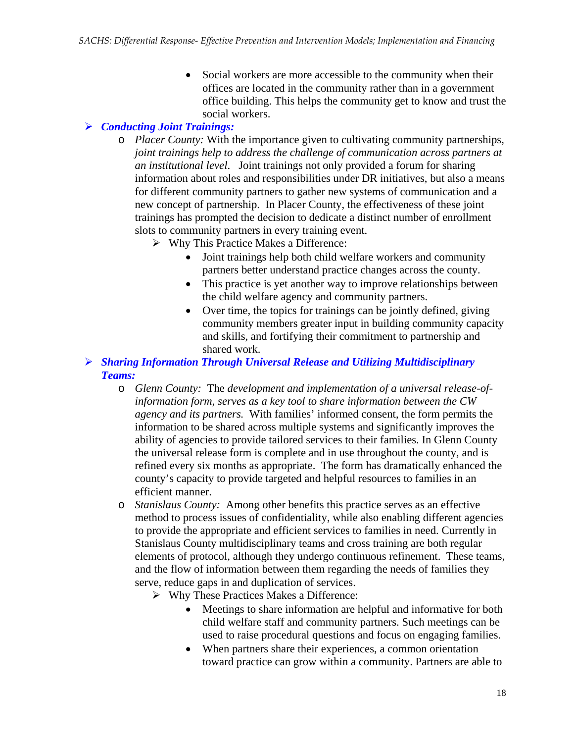• Social workers are more accessible to the community when their offices are located in the community rather than in a government office building. This helps the community get to know and trust the social workers.

### ¾ *Conducting Joint Trainings:*

- o *Placer County:* With the importance given to cultivating community partnerships, *joint trainings help to address the challenge of communication across partners at an institutional level*. Joint trainings not only provided a forum for sharing information about roles and responsibilities under DR initiatives, but also a means for different community partners to gather new systems of communication and a new concept of partnership. In Placer County, the effectiveness of these joint trainings has prompted the decision to dedicate a distinct number of enrollment slots to community partners in every training event.
	- ¾ Why This Practice Makes a Difference:
		- Joint trainings help both child welfare workers and community partners better understand practice changes across the county.
		- This practice is yet another way to improve relationships between the child welfare agency and community partners.
		- Over time, the topics for trainings can be jointly defined, giving community members greater input in building community capacity and skills, and fortifying their commitment to partnership and shared work.
- ¾ *Sharing Information Through Universal Release and Utilizing Multidisciplinary Teams:* 
	- o *Glenn County:* The *development and implementation of a universal release-ofinformation form, serves as a key tool to share information between the CW agency and its partners.* With families' informed consent, the form permits the information to be shared across multiple systems and significantly improves the ability of agencies to provide tailored services to their families. In Glenn County the universal release form is complete and in use throughout the county, and is refined every six months as appropriate. The form has dramatically enhanced the county's capacity to provide targeted and helpful resources to families in an efficient manner.
	- o *Stanislaus County:*Among other benefits this practice serves as an effective method to process issues of confidentiality, while also enabling different agencies to provide the appropriate and efficient services to families in need. Currently in Stanislaus County multidisciplinary teams and cross training are both regular elements of protocol, although they undergo continuous refinement. These teams, and the flow of information between them regarding the needs of families they serve, reduce gaps in and duplication of services.
		- ¾ Why These Practices Makes a Difference:
			- Meetings to share information are helpful and informative for both child welfare staff and community partners. Such meetings can be used to raise procedural questions and focus on engaging families.
			- When partners share their experiences, a common orientation toward practice can grow within a community. Partners are able to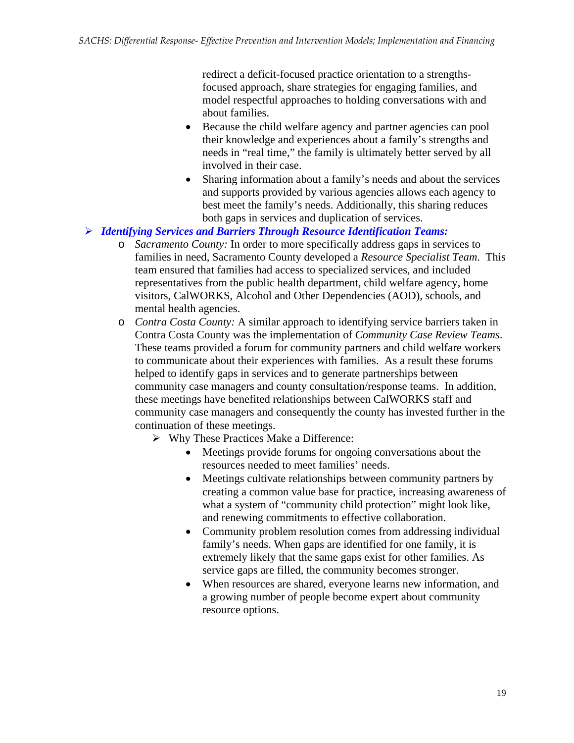redirect a deficit-focused practice orientation to a strengthsfocused approach, share strategies for engaging families, and model respectful approaches to holding conversations with and about families.

- Because the child welfare agency and partner agencies can pool their knowledge and experiences about a family's strengths and needs in "real time," the family is ultimately better served by all involved in their case.
- Sharing information about a family's needs and about the services and supports provided by various agencies allows each agency to best meet the family's needs. Additionally, this sharing reduces both gaps in services and duplication of services.
- ¾ *Identifying Services and Barriers Through Resource Identification Teams:* 
	- o *Sacramento County:* In order to more specifically address gaps in services to families in need, Sacramento County developed a *Resource Specialist Team*. This team ensured that families had access to specialized services, and included representatives from the public health department, child welfare agency, home visitors, CalWORKS, Alcohol and Other Dependencies (AOD), schools, and mental health agencies.
	- o *Contra Costa County:* A similar approach to identifying service barriers taken in Contra Costa County was the implementation of *Community Case Review Teams*. These teams provided a forum for community partners and child welfare workers to communicate about their experiences with families. As a result these forums helped to identify gaps in services and to generate partnerships between community case managers and county consultation/response teams. In addition, these meetings have benefited relationships between CalWORKS staff and community case managers and consequently the county has invested further in the continuation of these meetings.
		- $\triangleright$  Why These Practices Make a Difference:
			- Meetings provide forums for ongoing conversations about the resources needed to meet families' needs.
			- Meetings cultivate relationships between community partners by creating a common value base for practice, increasing awareness of what a system of "community child protection" might look like, and renewing commitments to effective collaboration.
			- Community problem resolution comes from addressing individual family's needs. When gaps are identified for one family, it is extremely likely that the same gaps exist for other families. As service gaps are filled, the community becomes stronger.
			- When resources are shared, everyone learns new information, and a growing number of people become expert about community resource options.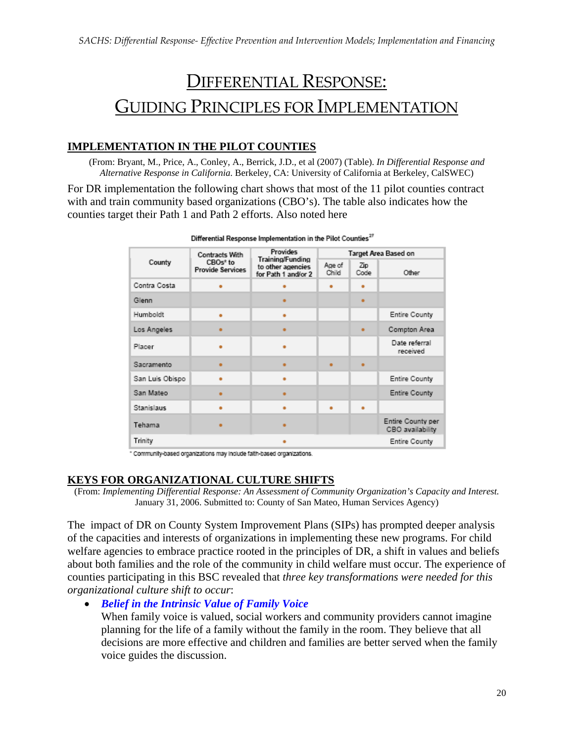# DIFFERENTIAL RESPONSE: GUIDING PRINCIPLES FOR IMPLEMENTATION

### **IMPLEMENTATION IN THE PILOT COUNTIES**

(From: Bryant, M., Price, A., Conley, A., Berrick, J.D., et al (2007) (Table). *In Differential Response and Alternative Response in California*. Berkeley, CA: University of California at Berkeley, CalSWEC)

For DR implementation the following chart shows that most of the 11 pilot counties contract with and train community based organizations (CBO's). The table also indicates how the counties target their Path 1 and Path 2 efforts. Also noted here

| CBOs <sup>*</sup> to<br>County | <b>Contracts With</b>   | <b>Provides</b><br>Training/Funding<br>to other agencies<br>for Path 1 and/or 2 | Target Area Based on |             |                                       |
|--------------------------------|-------------------------|---------------------------------------------------------------------------------|----------------------|-------------|---------------------------------------|
|                                | <b>Provide Services</b> |                                                                                 | Age of<br>Child      | Zip<br>Code | Other                                 |
| Contra Costa                   |                         |                                                                                 | ٠                    | ۰           |                                       |
| Glenn                          |                         | $\blacksquare$                                                                  |                      | ٠           |                                       |
| Humboldt                       | ٠                       |                                                                                 |                      |             | Entire County                         |
| Los Angeles                    | ٠                       | ÷                                                                               |                      | ٠           | Compton Area                          |
| Placer                         |                         |                                                                                 |                      |             | Date referral<br>received             |
| Sacramento                     | ٠                       | $\blacksquare$                                                                  | ٠                    | ٠           |                                       |
| San Luis Obispo                |                         |                                                                                 |                      |             | Entire County                         |
| San Mateo                      |                         | ٠                                                                               |                      |             | Entire County                         |
| Stanislaus                     |                         |                                                                                 | ٠                    |             |                                       |
| Tehama                         | ٠                       |                                                                                 |                      |             | Entire County per<br>CBO availability |
| Trinity                        |                         |                                                                                 |                      |             | Entire County                         |

Differential Response Implementation in the Pilot Counties<sup>27</sup>

" Community-based organizations may include faith-based organizations.

#### **KEYS FOR ORGANIZATIONAL CULTURE SHIFTS**

(From: *Implementing Differential Response: An Assessment of Community Organization's Capacity and Interest.* January 31, 2006. Submitted to: County of San Mateo, Human Services Agency)

The impact of DR on County System Improvement Plans (SIPs) has prompted deeper analysis of the capacities and interests of organizations in implementing these new programs. For child welfare agencies to embrace practice rooted in the principles of DR, a shift in values and beliefs about both families and the role of the community in child welfare must occur. The experience of counties participating in this BSC revealed that *three key transformations were needed for this organizational culture shift to occur*:

• *Belief in the Intrinsic Value of Family Voice* 

When family voice is valued, social workers and community providers cannot imagine planning for the life of a family without the family in the room. They believe that all decisions are more effective and children and families are better served when the family voice guides the discussion.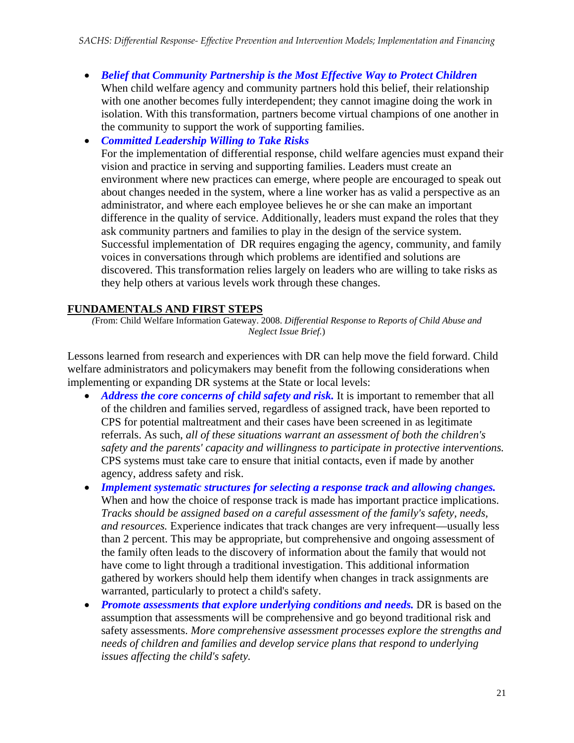• *Belief that Community Partnership is the Most Effective Way to Protect Children* When child welfare agency and community partners hold this belief, their relationship with one another becomes fully interdependent; they cannot imagine doing the work in isolation. With this transformation, partners become virtual champions of one another in the community to support the work of supporting families.

• *Committed Leadership Willing to Take Risks* 

For the implementation of differential response, child welfare agencies must expand their vision and practice in serving and supporting families. Leaders must create an environment where new practices can emerge, where people are encouraged to speak out about changes needed in the system, where a line worker has as valid a perspective as an administrator, and where each employee believes he or she can make an important difference in the quality of service. Additionally, leaders must expand the roles that they ask community partners and families to play in the design of the service system. Successful implementation of DR requires engaging the agency, community, and family voices in conversations through which problems are identified and solutions are discovered. This transformation relies largely on leaders who are willing to take risks as they help others at various levels work through these changes.

#### **FUNDAMENTALS AND FIRST STEPS**

*(*From: Child Welfare Information Gateway. 2008. *Differential Response to Reports of Child Abuse and Neglect Issue Brief.*)

Lessons learned from research and experiences with DR can help move the field forward. Child welfare administrators and policymakers may benefit from the following considerations when implementing or expanding DR systems at the State or local levels:

- *Address the core concerns of child safety and risk*. It is important to remember that all of the children and families served, regardless of assigned track, have been reported to CPS for potential maltreatment and their cases have been screened in as legitimate referrals. As such, *all of these situations warrant an assessment of both the children's safety and the parents' capacity and willingness to participate in protective interventions.* CPS systems must take care to ensure that initial contacts, even if made by another agency, address safety and risk.
- *Implement systematic structures for selecting a response track and allowing changes.* When and how the choice of response track is made has important practice implications. *Tracks should be assigned based on a careful assessment of the family's safety, needs, and resources.* Experience indicates that track changes are very infrequent—usually less than 2 percent. This may be appropriate, but comprehensive and ongoing assessment of the family often leads to the discovery of information about the family that would not have come to light through a traditional investigation. This additional information gathered by workers should help them identify when changes in track assignments are warranted, particularly to protect a child's safety.
- *Promote assessments that explore underlying conditions and needs.* DR is based on the assumption that assessments will be comprehensive and go beyond traditional risk and safety assessments. *More comprehensive assessment processes explore the strengths and needs of children and families and develop service plans that respond to underlying issues affecting the child's safety.*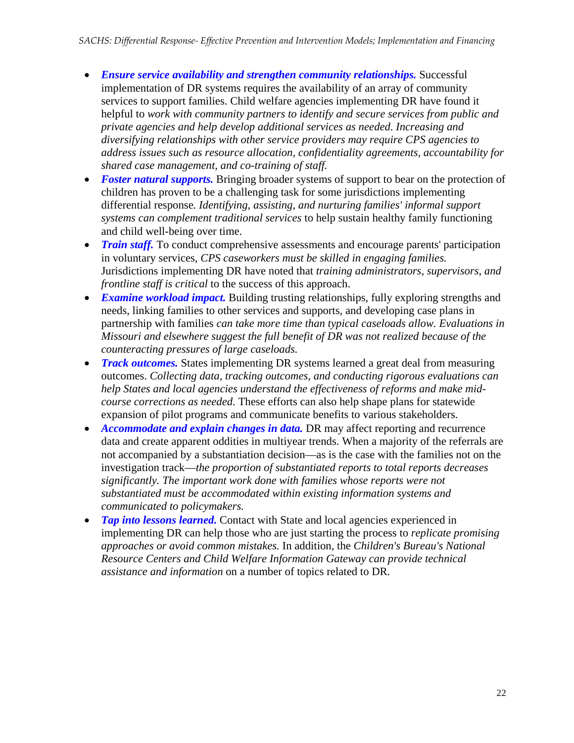- *Ensure service availability and strengthen community relationships.* Successful implementation of DR systems requires the availability of an array of community services to support families. Child welfare agencies implementing DR have found it helpful to *work with community partners to identify and secure services from public and private agencies and help develop additional services as needed*. *Increasing and diversifying relationships with other service providers may require CPS agencies to address issues such as resource allocation, confidentiality agreements, accountability for shared case management, and co-training of staff.*
- **Foster natural supports.** Bringing broader systems of support to bear on the protection of children has proven to be a challenging task for some jurisdictions implementing differential response*. Identifying, assisting, and nurturing families' informal support systems can complement traditional services* to help sustain healthy family functioning and child well-being over time.
- *Train staff.* To conduct comprehensive assessments and encourage parents' participation in voluntary services, *CPS caseworkers must be skilled in engaging families.* Jurisdictions implementing DR have noted that *training administrators, supervisors, and frontline staff is critical* to the success of this approach.
- *Examine workload impact*. Building trusting relationships, fully exploring strengths and needs, linking families to other services and supports, and developing case plans in partnership with families *can take more time than typical caseloads allow. Evaluations in Missouri and elsewhere suggest the full benefit of DR was not realized because of the counteracting pressures of large caseloads.*
- *Track outcomes*. States implementing DR systems learned a great deal from measuring outcomes. *Collecting data, tracking outcomes, and conducting rigorous evaluations can help States and local agencies understand the effectiveness of reforms and make midcourse corrections as needed.* These efforts can also help shape plans for statewide expansion of pilot programs and communicate benefits to various stakeholders.
- *Accommodate and explain changes in data*. DR may affect reporting and recurrence data and create apparent oddities in multiyear trends. When a majority of the referrals are not accompanied by a substantiation decision—as is the case with the families not on the investigation track—*the proportion of substantiated reports to total reports decreases significantly. The important work done with families whose reports were not substantiated must be accommodated within existing information systems and communicated to policymakers.*
- *Tap into lessons learned.* Contact with State and local agencies experienced in implementing DR can help those who are just starting the process to *replicate promising approaches or avoid common mistakes.* In addition, the *Children's Bureau's National Resource Centers and Child Welfare Information Gateway can provide technical assistance and information* on a number of topics related to DR.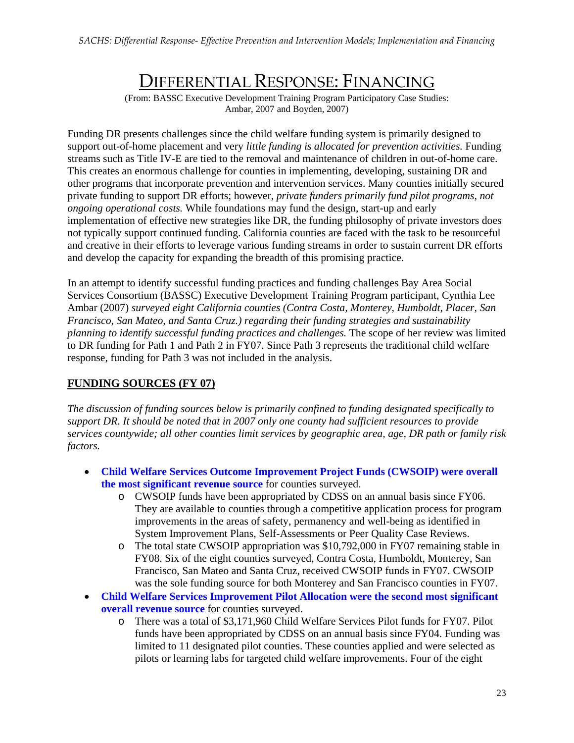# DIFFERENTIAL RESPONSE: FINANCING

(From: BASSC Executive Development Training Program Participatory Case Studies: Ambar, 2007 and Boyden, 2007)

Funding DR presents challenges since the child welfare funding system is primarily designed to support out-of-home placement and very *little funding is allocated for prevention activities.* Funding streams such as Title IV-E are tied to the removal and maintenance of children in out-of-home care. This creates an enormous challenge for counties in implementing, developing, sustaining DR and other programs that incorporate prevention and intervention services. Many counties initially secured private funding to support DR efforts; however, *private funders primarily fund pilot programs, not ongoing operational costs.* While foundations may fund the design, start-up and early implementation of effective new strategies like DR, the funding philosophy of private investors does not typically support continued funding. California counties are faced with the task to be resourceful and creative in their efforts to leverage various funding streams in order to sustain current DR efforts and develop the capacity for expanding the breadth of this promising practice.

In an attempt to identify successful funding practices and funding challenges Bay Area Social Services Consortium (BASSC) Executive Development Training Program participant, Cynthia Lee Ambar (2007) *surveyed eight California counties (Contra Costa, Monterey, Humboldt, Placer, San Francisco, San Mateo, and Santa Cruz.) regarding their funding strategies and sustainability planning to identify successful funding practices and challenges.* The scope of her review was limited to DR funding for Path 1 and Path 2 in FY07. Since Path 3 represents the traditional child welfare response, funding for Path 3 was not included in the analysis.

#### **FUNDING SOURCES (FY 07)**

*The discussion of funding sources below is primarily confined to funding designated specifically to support DR. It should be noted that in 2007 only one county had sufficient resources to provide services countywide; all other counties limit services by geographic area, age, DR path or family risk factors.*

- **Child Welfare Services Outcome Improvement Project Funds (CWSOIP) were overall the most significant revenue source** for counties surveyed.
	- o CWSOIP funds have been appropriated by CDSS on an annual basis since FY06. They are available to counties through a competitive application process for program improvements in the areas of safety, permanency and well-being as identified in System Improvement Plans, Self-Assessments or Peer Quality Case Reviews.
	- o The total state CWSOIP appropriation was \$10,792,000 in FY07 remaining stable in FY08. Six of the eight counties surveyed, Contra Costa, Humboldt, Monterey, San Francisco, San Mateo and Santa Cruz, received CWSOIP funds in FY07. CWSOIP was the sole funding source for both Monterey and San Francisco counties in FY07.
- **Child Welfare Services Improvement Pilot Allocation were the second most significant overall revenue source** for counties surveyed.
	- o There was a total of \$3,171,960 Child Welfare Services Pilot funds for FY07. Pilot funds have been appropriated by CDSS on an annual basis since FY04. Funding was limited to 11 designated pilot counties. These counties applied and were selected as pilots or learning labs for targeted child welfare improvements. Four of the eight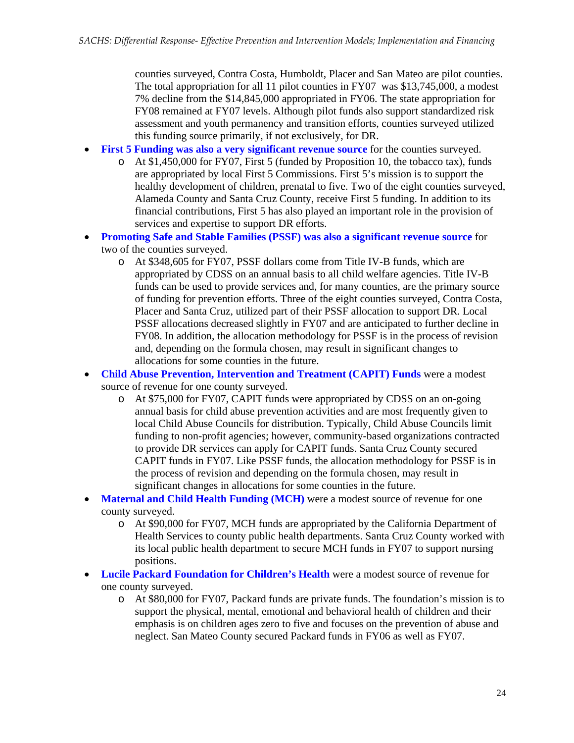counties surveyed, Contra Costa, Humboldt, Placer and San Mateo are pilot counties. The total appropriation for all 11 pilot counties in FY07 was \$13,745,000, a modest 7% decline from the \$14,845,000 appropriated in FY06. The state appropriation for FY08 remained at FY07 levels. Although pilot funds also support standardized risk assessment and youth permanency and transition efforts, counties surveyed utilized this funding source primarily, if not exclusively, for DR.

- **First 5 Funding was also a very significant revenue source** for the counties surveyed.
	- o At \$1,450,000 for FY07, First 5 (funded by Proposition 10, the tobacco tax), funds are appropriated by local First 5 Commissions. First 5's mission is to support the healthy development of children, prenatal to five. Two of the eight counties surveyed, Alameda County and Santa Cruz County, receive First 5 funding. In addition to its financial contributions, First 5 has also played an important role in the provision of services and expertise to support DR efforts.
- **Promoting Safe and Stable Families (PSSF) was also a significant revenue source** for two of the counties surveyed.
	- o At \$348,605 for FY07, PSSF dollars come from Title IV-B funds, which are appropriated by CDSS on an annual basis to all child welfare agencies. Title IV-B funds can be used to provide services and, for many counties, are the primary source of funding for prevention efforts. Three of the eight counties surveyed, Contra Costa, Placer and Santa Cruz, utilized part of their PSSF allocation to support DR. Local PSSF allocations decreased slightly in FY07 and are anticipated to further decline in FY08. In addition, the allocation methodology for PSSF is in the process of revision and, depending on the formula chosen, may result in significant changes to allocations for some counties in the future.
- **Child Abuse Prevention, Intervention and Treatment (CAPIT) Funds** were a modest source of revenue for one county surveyed.
	- o At \$75,000 for FY07, CAPIT funds were appropriated by CDSS on an on-going annual basis for child abuse prevention activities and are most frequently given to local Child Abuse Councils for distribution. Typically, Child Abuse Councils limit funding to non-profit agencies; however, community-based organizations contracted to provide DR services can apply for CAPIT funds. Santa Cruz County secured CAPIT funds in FY07. Like PSSF funds, the allocation methodology for PSSF is in the process of revision and depending on the formula chosen, may result in significant changes in allocations for some counties in the future.
- **Maternal and Child Health Funding (MCH)** were a modest source of revenue for one county surveyed.
	- o At \$90,000 for FY07, MCH funds are appropriated by the California Department of Health Services to county public health departments. Santa Cruz County worked with its local public health department to secure MCH funds in FY07 to support nursing positions.
- **Lucile Packard Foundation for Children's Health** were a modest source of revenue for one county surveyed.
	- o At \$80,000 for FY07, Packard funds are private funds. The foundation's mission is to support the physical, mental, emotional and behavioral health of children and their emphasis is on children ages zero to five and focuses on the prevention of abuse and neglect. San Mateo County secured Packard funds in FY06 as well as FY07.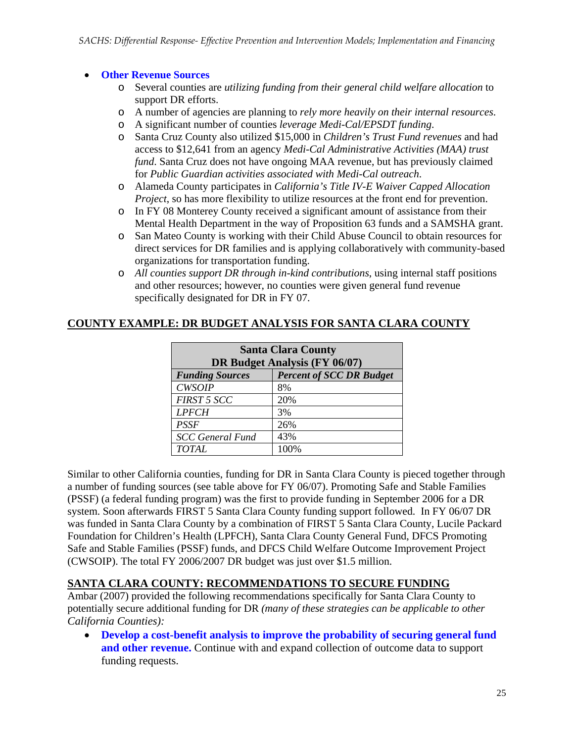#### • **Other Revenue Sources**

- o Several counties are *utilizing funding from their general child welfare allocation* to support DR efforts.
- o A number of agencies are planning to *rely more heavily on their internal resources*.
- o A significant number of counties *leverage Medi-Cal/EPSDT funding*.
- o Santa Cruz County also utilized \$15,000 in *Children's Trust Fund revenues* and had access to \$12,641 from an agency *Medi-Cal Administrative Activities (MAA) trust fund*. Santa Cruz does not have ongoing MAA revenue, but has previously claimed for *Public Guardian activities associated with Medi-Cal outreach*.
- o Alameda County participates in *California's Title IV-E Waiver Capped Allocation Project*, so has more flexibility to utilize resources at the front end for prevention.
- o In FY 08 Monterey County received a significant amount of assistance from their Mental Health Department in the way of Proposition 63 funds and a SAMSHA grant.
- o San Mateo County is working with their Child Abuse Council to obtain resources for direct services for DR families and is applying collaboratively with community-based organizations for transportation funding.
- o *All counties support DR through in-kind contributions*, using internal staff positions and other resources; however, no counties were given general fund revenue specifically designated for DR in FY 07.

| <b>Santa Clara County</b><br>DR Budget Analysis (FY 06/07) |                                 |  |  |  |
|------------------------------------------------------------|---------------------------------|--|--|--|
| <b>Funding Sources</b>                                     | <b>Percent of SCC DR Budget</b> |  |  |  |
| <b>CWSOIP</b>                                              | 8%                              |  |  |  |
| FIRST 5 SCC                                                | 20%                             |  |  |  |
| <b>LPFCH</b>                                               | 3%                              |  |  |  |
| <b>PSSF</b>                                                | 26%                             |  |  |  |
| <b>SCC</b> General Fund                                    | 43%                             |  |  |  |
| <b>TOTAL</b>                                               | 100%                            |  |  |  |

#### **COUNTY EXAMPLE: DR BUDGET ANALYSIS FOR SANTA CLARA COUNTY**

Similar to other California counties, funding for DR in Santa Clara County is pieced together through a number of funding sources (see table above for FY 06/07). Promoting Safe and Stable Families (PSSF) (a federal funding program) was the first to provide funding in September 2006 for a DR system. Soon afterwards FIRST 5 Santa Clara County funding support followed. In FY 06/07 DR was funded in Santa Clara County by a combination of FIRST 5 Santa Clara County, Lucile Packard Foundation for Children's Health (LPFCH), Santa Clara County General Fund, DFCS Promoting Safe and Stable Families (PSSF) funds, and DFCS Child Welfare Outcome Improvement Project (CWSOIP). The total FY 2006/2007 DR budget was just over \$1.5 million.

#### **SANTA CLARA COUNTY: RECOMMENDATIONS TO SECURE FUNDING**

Ambar (2007) provided the following recommendations specifically for Santa Clara County to potentially secure additional funding for DR *(many of these strategies can be applicable to other California Counties):*

• **Develop a cost-benefit analysis to improve the probability of securing general fund and other revenue.** Continue with and expand collection of outcome data to support funding requests.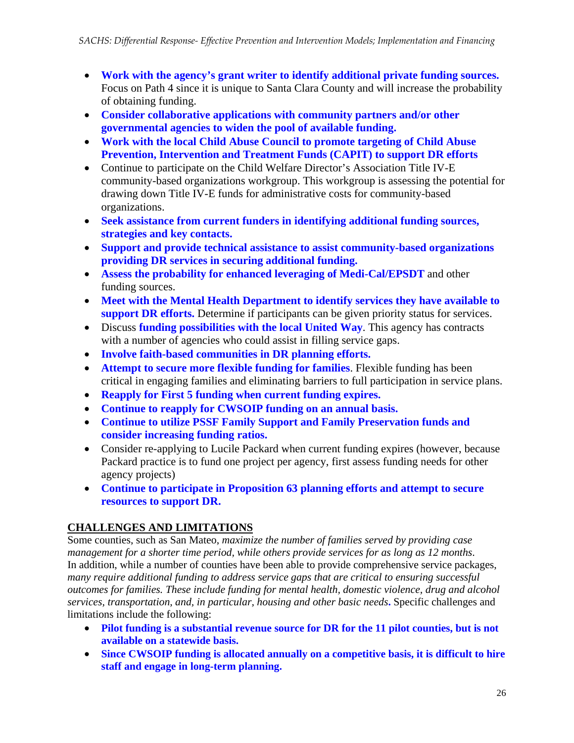- **Work with the agency's grant writer to identify additional private funding sources.**  Focus on Path 4 since it is unique to Santa Clara County and will increase the probability of obtaining funding.
- **Consider collaborative applications with community partners and/or other governmental agencies to widen the pool of available funding.**
- **Work with the local Child Abuse Council to promote targeting of Child Abuse Prevention, Intervention and Treatment Funds (CAPIT) to support DR efforts**
- Continue to participate on the Child Welfare Director's Association Title IV-E community-based organizations workgroup. This workgroup is assessing the potential for drawing down Title IV-E funds for administrative costs for community-based organizations.
- **Seek assistance from current funders in identifying additional funding sources, strategies and key contacts.**
- **Support and provide technical assistance to assist community-based organizations providing DR services in securing additional funding.**
- **Assess the probability for enhanced leveraging of Medi-Cal/EPSDT** and other funding sources.
- **Meet with the Mental Health Department to identify services they have available to support DR efforts.** Determine if participants can be given priority status for services.
- Discuss **funding possibilities with the local United Way**. This agency has contracts with a number of agencies who could assist in filling service gaps.
- **Involve faith-based communities in DR planning efforts.**
- **Attempt to secure more flexible funding for families**. Flexible funding has been critical in engaging families and eliminating barriers to full participation in service plans.
- **Reapply for First 5 funding when current funding expires.**
- **Continue to reapply for CWSOIP funding on an annual basis.**
- **Continue to utilize PSSF Family Support and Family Preservation funds and consider increasing funding ratios.**
- Consider re-applying to Lucile Packard when current funding expires (however, because Packard practice is to fund one project per agency, first assess funding needs for other agency projects)
- **Continue to participate in Proposition 63 planning efforts and attempt to secure resources to support DR.**

### **CHALLENGES AND LIMITATIONS**

Some counties, such as San Mateo, *maximize the number of families served by providing case management for a shorter time period, while others provide services for as long as 12 months*. In addition, while a number of counties have been able to provide comprehensive service packages, *many require additional funding to address service gaps that are critical to ensuring successful outcomes for families. These include funding for mental health, domestic violence, drug and alcohol services, transportation, and, in particular, housing and other basic needs***.** Specific challenges and limitations include the following:

- **Pilot funding is a substantial revenue source for DR for the 11 pilot counties, but is not available on a statewide basis.**
- **Since CWSOIP funding is allocated annually on a competitive basis, it is difficult to hire staff and engage in long-term planning.**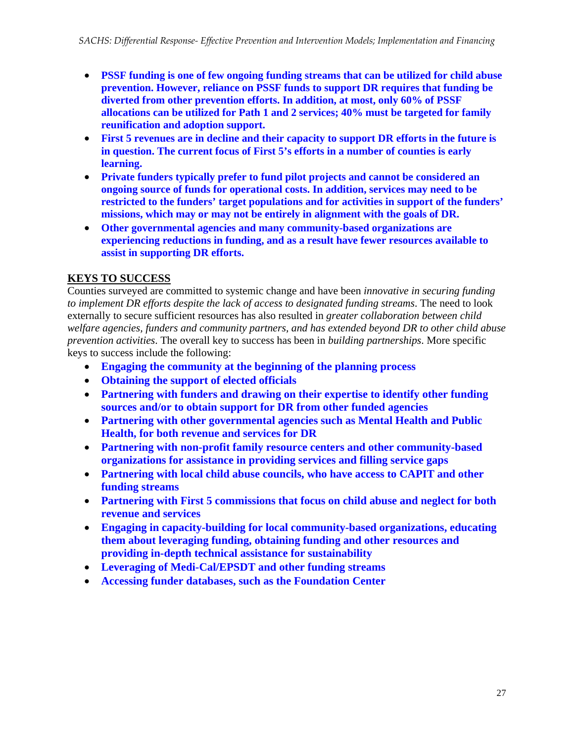- **PSSF funding is one of few ongoing funding streams that can be utilized for child abuse prevention. However, reliance on PSSF funds to support DR requires that funding be diverted from other prevention efforts. In addition, at most, only 60% of PSSF allocations can be utilized for Path 1 and 2 services; 40% must be targeted for family reunification and adoption support.**
- **First 5 revenues are in decline and their capacity to support DR efforts in the future is in question. The current focus of First 5's efforts in a number of counties is early learning.**
- **Private funders typically prefer to fund pilot projects and cannot be considered an ongoing source of funds for operational costs. In addition, services may need to be restricted to the funders' target populations and for activities in support of the funders' missions, which may or may not be entirely in alignment with the goals of DR.**
- **Other governmental agencies and many community-based organizations are experiencing reductions in funding, and as a result have fewer resources available to assist in supporting DR efforts.**

#### **KEYS TO SUCCESS**

Counties surveyed are committed to systemic change and have been *innovative in securing funding to implement DR efforts despite the lack of access to designated funding streams*. The need to look externally to secure sufficient resources has also resulted in *greater collaboration between child welfare agencies, funders and community partners, and has extended beyond DR to other child abuse prevention activities*. The overall key to success has been in *building partnerships*. More specific keys to success include the following:

- **Engaging the community at the beginning of the planning process**
- **Obtaining the support of elected officials**
- **Partnering with funders and drawing on their expertise to identify other funding sources and/or to obtain support for DR from other funded agencies**
- **Partnering with other governmental agencies such as Mental Health and Public Health, for both revenue and services for DR**
- **Partnering with non-profit family resource centers and other community-based organizations for assistance in providing services and filling service gaps**
- **Partnering with local child abuse councils, who have access to CAPIT and other funding streams**
- **Partnering with First 5 commissions that focus on child abuse and neglect for both revenue and services**
- **Engaging in capacity-building for local community-based organizations, educating them about leveraging funding, obtaining funding and other resources and providing in-depth technical assistance for sustainability**
- **Leveraging of Medi-Cal/EPSDT and other funding streams**
- **Accessing funder databases, such as the Foundation Center**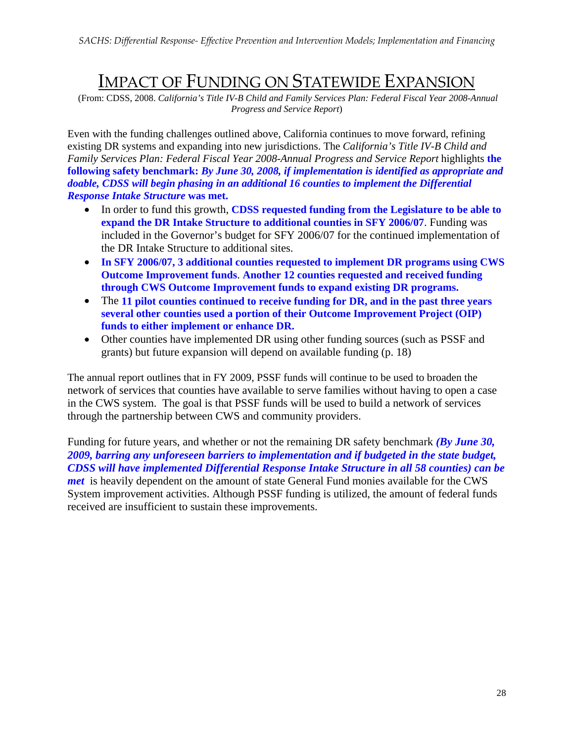### IMPACT OF FUNDING ON STATEWIDE EXPANSION

 (From: CDSS, 2008. *California's Title IV-B Child and Family Services Plan: Federal Fiscal Year 2008-Annual Progress and Service Report*)

Even with the funding challenges outlined above, California continues to move forward, refining existing DR systems and expanding into new jurisdictions. The *California's Title IV-B Child and Family Services Plan: Federal Fiscal Year 2008-Annual Progress and Service Report* highlights **the following safety benchmark:** *By June 30, 2008, if implementation is identified as appropriate and doable, CDSS will begin phasing in an additional 16 counties to implement the Differential Response Intake Structure* **was met.** 

- In order to fund this growth, **CDSS requested funding from the Legislature to be able to expand the DR Intake Structure to additional counties in SFY 2006/07**. Funding was included in the Governor's budget for SFY 2006/07 for the continued implementation of the DR Intake Structure to additional sites.
- **In SFY 2006/07, 3 additional counties requested to implement DR programs using CWS Outcome Improvement funds**. **Another 12 counties requested and received funding through CWS Outcome Improvement funds to expand existing DR programs.**
- The **11 pilot counties continued to receive funding for DR, and in the past three years several other counties used a portion of their Outcome Improvement Project (OIP) funds to either implement or enhance DR.**
- Other counties have implemented DR using other funding sources (such as PSSF and grants) but future expansion will depend on available funding (p. 18)

The annual report outlines that in FY 2009, PSSF funds will continue to be used to broaden the network of services that counties have available to serve families without having to open a case in the CWS system. The goal is that PSSF funds will be used to build a network of services through the partnership between CWS and community providers.

Funding for future years, and whether or not the remaining DR safety benchmark *(By June 30, 2009, barring any unforeseen barriers to implementation and if budgeted in the state budget, CDSS will have implemented Differential Response Intake Structure in all 58 counties) can be met* is heavily dependent on the amount of state General Fund monies available for the CWS System improvement activities. Although PSSF funding is utilized, the amount of federal funds received are insufficient to sustain these improvements.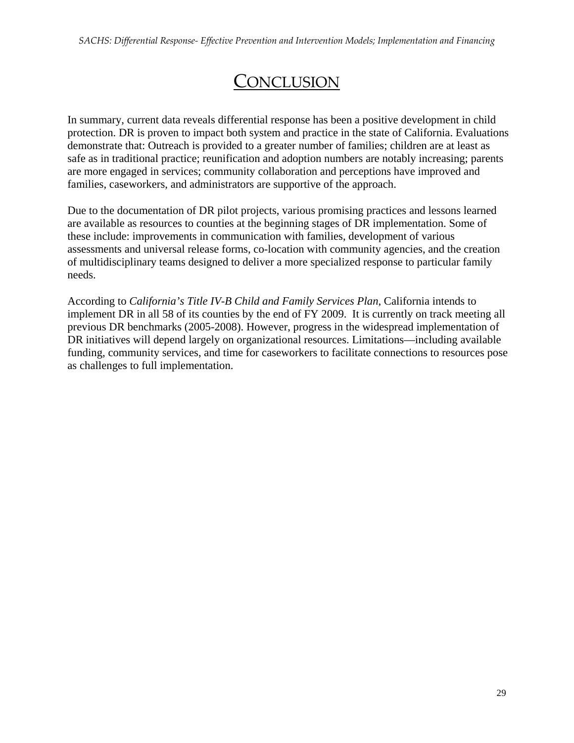# **CONCLUSION**

In summary, current data reveals differential response has been a positive development in child protection. DR is proven to impact both system and practice in the state of California. Evaluations demonstrate that: Outreach is provided to a greater number of families; children are at least as safe as in traditional practice; reunification and adoption numbers are notably increasing; parents are more engaged in services; community collaboration and perceptions have improved and families, caseworkers, and administrators are supportive of the approach.

Due to the documentation of DR pilot projects, various promising practices and lessons learned are available as resources to counties at the beginning stages of DR implementation. Some of these include: improvements in communication with families, development of various assessments and universal release forms, co-location with community agencies, and the creation of multidisciplinary teams designed to deliver a more specialized response to particular family needs.

According to *California's Title IV-B Child and Family Services Plan*, California intends to implement DR in all 58 of its counties by the end of FY 2009. It is currently on track meeting all previous DR benchmarks (2005-2008). However, progress in the widespread implementation of DR initiatives will depend largely on organizational resources. Limitations—including available funding, community services, and time for caseworkers to facilitate connections to resources pose as challenges to full implementation.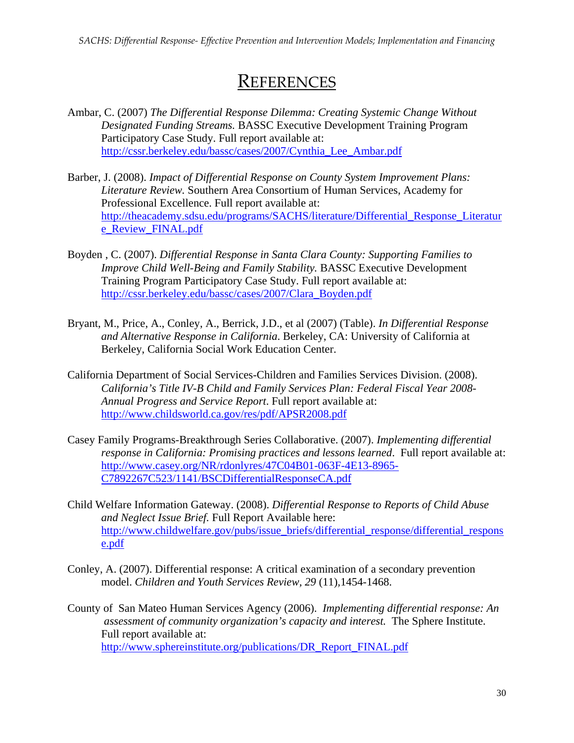### **REFERENCES**

- Ambar, C. (2007) *The Differential Response Dilemma: Creating Systemic Change Without Designated Funding Streams.* BASSC Executive Development Training Program Participatory Case Study. Full report available at: http://cssr.berkeley.edu/bassc/cases/2007/Cynthia\_Lee\_Ambar.pdf
- Barber, J. (2008). *Impact of Differential Response on County System Improvement Plans: Literature Review.* Southern Area Consortium of Human Services, Academy for Professional Excellence. Full report available at: http://theacademy.sdsu.edu/programs/SACHS/literature/Differential\_Response\_Literatur e\_Review\_FINAL.pdf
- Boyden , C. (2007). *Differential Response in Santa Clara County: Supporting Families to Improve Child Well-Being and Family Stability.* BASSC Executive Development Training Program Participatory Case Study. Full report available at: http://cssr.berkeley.edu/bassc/cases/2007/Clara\_Boyden.pdf
- Bryant, M., Price, A., Conley, A., Berrick, J.D., et al (2007) (Table). *In Differential Response and Alternative Response in California*. Berkeley, CA: University of California at Berkeley, California Social Work Education Center.
- California Department of Social Services-Children and Families Services Division. (2008). *California's Title IV-B Child and Family Services Plan: Federal Fiscal Year 2008- Annual Progress and Service Report*. Full report available at: http://www.childsworld.ca.gov/res/pdf/APSR2008.pdf
- Casey Family Programs-Breakthrough Series Collaborative. (2007). *Implementing differential response in California: Promising practices and lessons learned*. Full report available at: http://www.casey.org/NR/rdonlyres/47C04B01-063F-4E13-8965- C7892267C523/1141/BSCDifferentialResponseCA.pdf
- Child Welfare Information Gateway. (2008). *Differential Response to Reports of Child Abuse and Neglect Issue Brief.* Full Report Available here: http://www.childwelfare.gov/pubs/issue\_briefs/differential\_response/differential\_respons e.pdf
- Conley, A. (2007). Differential response: A critical examination of a secondary prevention model. *Children and Youth Services Review, 29* (11)*,*1454-1468.
- County of San Mateo Human Services Agency (2006). *Implementing differential response: An assessment of community organization's capacity and interest.* The Sphere Institute. Full report available at: http://www.sphereinstitute.org/publications/DR\_Report\_FINAL.pdf

30